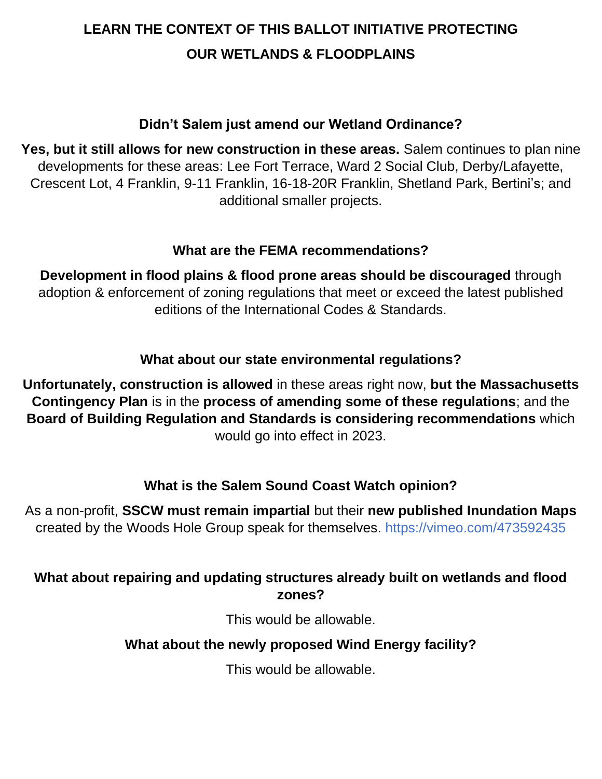# **LEARN THE CONTEXT OF THIS BALLOT INITIATIVE PROTECTING OUR WETLANDS & FLOODPLAINS**

## **Didn't Salem just amend our Wetland Ordinance?**

**Yes, but it still allows for new construction in these areas.** Salem continues to plan nine developments for these areas: Lee Fort Terrace, Ward 2 Social Club, Derby/Lafayette, Crescent Lot, 4 Franklin, 9-11 Franklin, 16-18-20R Franklin, Shetland Park, Bertini's; and additional smaller projects.

### **What are the FEMA recommendations?**

**Development in flood plains & flood prone areas should be discouraged** through adoption & enforcement of zoning regulations that meet or exceed the latest published editions of the International Codes & Standards.

# **What about our state environmental regulations?**

**Unfortunately, construction is allowed** in these areas right now, **but the Massachusetts Contingency Plan** is in the **process of amending some of these regulations**; and the **Board of Building Regulation and Standards is considering recommendations** which would go into effect in 2023.

# **What is the Salem Sound Coast Watch opinion?**

As a non-profit, **SSCW must remain impartial** but their **new published Inundation Maps** created by the Woods Hole Group speak for themselves. https://vimeo.com/473592435

### **What about repairing and updating structures already built on wetlands and flood zones?**

This would be allowable.

# **What about the newly proposed Wind Energy facility?**

This would be allowable.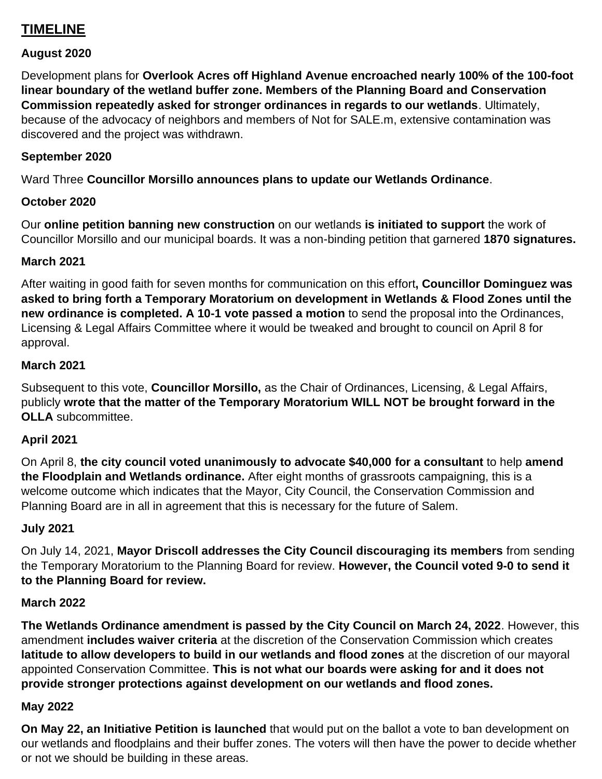### **TIMELINE**

#### **August 2020**

Development plans for **Overlook Acres off Highland Avenue encroached nearly 100% of the 100-foot linear boundary of the wetland buffer zone. Members of the Planning Board and Conservation Commission repeatedly asked for stronger ordinances in regards to our wetlands**. Ultimately, because of the advocacy of neighbors and members of Not for SALE.m, extensive contamination was discovered and the project was withdrawn.

#### **September 2020**

Ward Three **Councillor Morsillo announces plans to update our Wetlands Ordinance**.

#### **October 2020**

Our **online petition banning new construction** on our wetlands **is initiated to support** the work of Councillor Morsillo and our municipal boards. It was a non-binding petition that garnered **1870 signatures.**

#### **March 2021**

After waiting in good faith for seven months for communication on this effort**, Councillor Dominguez was asked to bring forth a Temporary Moratorium on development in Wetlands & Flood Zones until the new ordinance is completed. A 10-1 vote passed a motion** to send the proposal into the Ordinances, Licensing & Legal Affairs Committee where it would be tweaked and brought to council on April 8 for approval.

#### **March 2021**

Subsequent to this vote, **Councillor Morsillo,** as the Chair of Ordinances, Licensing, & Legal Affairs, publicly **wrote that the matter of the Temporary Moratorium WILL NOT be brought forward in the OLLA** subcommittee.

#### **April 2021**

On April 8, **the city council voted unanimously to advocate \$40,000 for a consultant** to help **amend the Floodplain and Wetlands ordinance.** After eight months of grassroots campaigning, this is a welcome outcome which indicates that the Mayor, City Council, the Conservation Commission and Planning Board are in all in agreement that this is necessary for the future of Salem.

#### **July 2021**

On July 14, 2021, **Mayor Driscoll addresses the City Council discouraging its members** from sending the Temporary Moratorium to the Planning Board for review. **However, the Council voted 9-0 to send it to the Planning Board for review.** 

#### **March 2022**

**The Wetlands Ordinance amendment is passed by the City Council on March 24, 2022**. However, this amendment **includes waiver criteria** at the discretion of the Conservation Commission which creates **latitude to allow developers to build in our wetlands and flood zones** at the discretion of our mayoral appointed Conservation Committee. **This is not what our boards were asking for and it does not provide stronger protections against development on our wetlands and flood zones.**

#### **May 2022**

**On May 22, an Initiative Petition is launched** that would put on the ballot a vote to ban development on our wetlands and floodplains and their buffer zones. The voters will then have the power to decide whether or not we should be building in these areas.